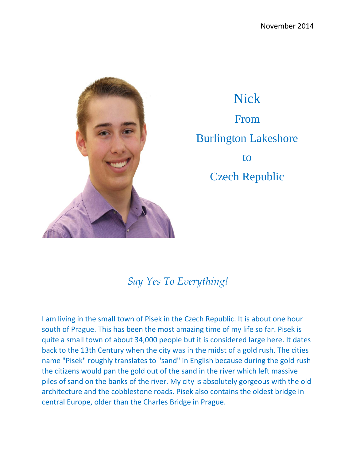

Nick From Burlington Lakeshore to Czech Republic

## *Say Yes To Everything!*

I am living in the small town of Pisek in the Czech Republic. It is about one hour south of Prague. This has been the most amazing time of my life so far. Pisek is quite a small town of about 34,000 people but it is considered large here. It dates back to the 13th Century when the city was in the midst of a gold rush. The cities name "Pisek" roughly translates to "sand" in English because during the gold rush the citizens would pan the gold out of the sand in the river which left massive piles of sand on the banks of the river. My city is absolutely gorgeous with the old architecture and the cobblestone roads. Pisek also contains the oldest bridge in central Europe, older than the Charles Bridge in Prague.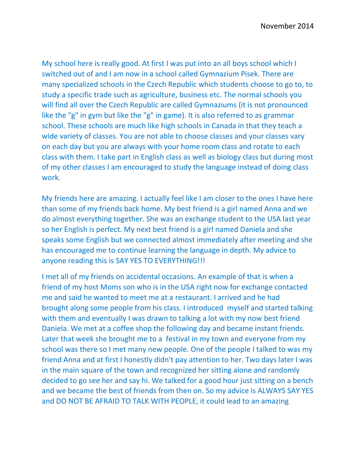My school here is really good. At first I was put into an all boys school which I switched out of and I am now in a school called Gymnazium Pisek. There are many specialized schools in the Czech Republic which students choose to go to, to study a specific trade such as agriculture, business etc. The normal schools you will find all over the Czech Republic are called Gymnaziums (it is not pronounced like the "g" in gym but like the "g" in game). It is also referred to as grammar school. These schools are much like high schools in Canada in that they teach a wide variety of classes. You are not able to choose classes and your classes vary on each day but you are always with your home room class and rotate to each class with them. I take part in English class as well as biology class but during most of my other classes I am encouraged to study the language instead of doing class work.

My friends here are amazing. I actually feel like I am closer to the ones I have here than some of my friends back home. My best friend is a girl named Anna and we do almost everything together. She was an exchange student to the USA last year so her English is perfect. My next best friend is a girl named Daniela and she speaks some English but we connected almost immediately after meeting and she has encouraged me to continue learning the language in depth. My advice to anyone reading this is SAY YES TO EVERYTHING!!!

I met all of my friends on accidental occasions. An example of that is when a friend of my host Moms son who is in the USA right now for exchange contacted me and said he wanted to meet me at a restaurant. I arrived and he had brought along some people from his class. I introduced myself and started talking with them and eventually I was drawn to talking a lot with my now best friend Daniela. We met at a coffee shop the following day and became instant friends. Later that week she brought me to a festival in my town and everyone from my school was there so I met many new people. One of the people I talked to was my friend Anna and at first I honestly didn't pay attention to her. Two days later I was in the main square of the town and recognized her sitting alone and randomly decided to go see her and say hi. We talked for a good hour just sitting on a bench and we became the best of friends from then on. So my advice is ALWAYS SAY YES and DO NOT BE AFRAID TO TALK WITH PEOPLE, it could lead to an amazing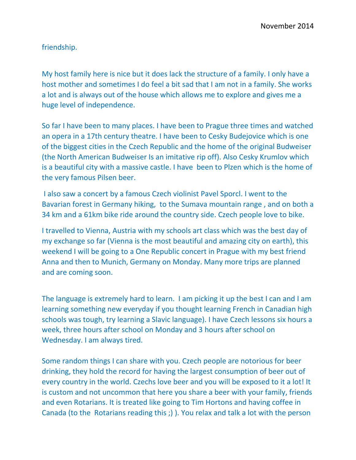friendship.

My host family here is nice but it does lack the structure of a family. I only have a host mother and sometimes I do feel a bit sad that I am not in a family. She works a lot and is always out of the house which allows me to explore and gives me a huge level of independence.

So far I have been to many places. I have been to Prague three times and watched an opera in a 17th century theatre. I have been to Cesky Budejovice which is one of the biggest cities in the Czech Republic and the home of the original Budweiser (the North American Budweiser Is an imitative rip off). Also Cesky Krumlov which is a beautiful city with a massive castle. I have been to Plzen which is the home of the very famous Pilsen beer.

I also saw a concert by a famous Czech violinist Pavel Sporcl. I went to the Bavarian forest in Germany hiking, to the Sumava mountain range , and on both a 34 km and a 61km bike ride around the country side. Czech people love to bike.

I travelled to Vienna, Austria with my schools art class which was the best day of my exchange so far (Vienna is the most beautiful and amazing city on earth), this weekend I will be going to a One Republic concert in Prague with my best friend Anna and then to Munich, Germany on Monday. Many more trips are planned and are coming soon.

The language is extremely hard to learn. I am picking it up the best I can and I am learning something new everyday if you thought learning French in Canadian high schools was tough, try learning a Slavic language). I have Czech lessons six hours a week, three hours after school on Monday and 3 hours after school on Wednesday. I am always tired.

Some random things I can share with you. Czech people are notorious for beer drinking, they hold the record for having the largest consumption of beer out of every country in the world. Czechs love beer and you will be exposed to it a lot! It is custom and not uncommon that here you share a beer with your family, friends and even Rotarians. It is treated like going to Tim Hortons and having coffee in Canada (to the Rotarians reading this ;) ). You relax and talk a lot with the person